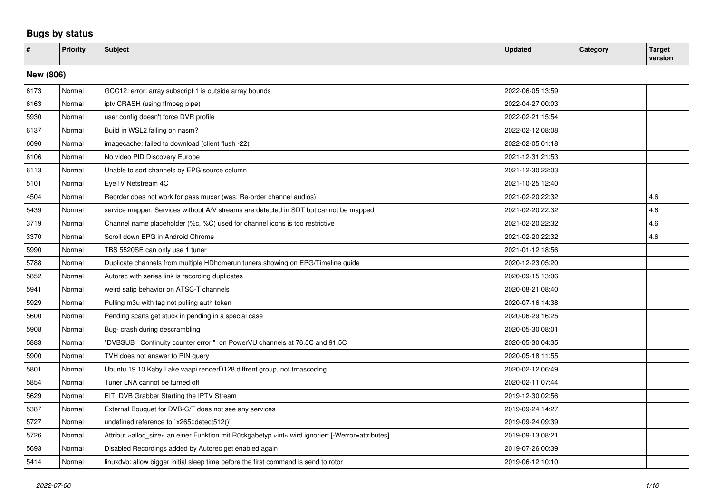## **Bugs by status**

| $\vert$ # | <b>Priority</b> | <b>Subject</b>                                                                                    | <b>Updated</b>   | Category | <b>Target</b><br>version |  |  |  |  |
|-----------|-----------------|---------------------------------------------------------------------------------------------------|------------------|----------|--------------------------|--|--|--|--|
|           | New (806)       |                                                                                                   |                  |          |                          |  |  |  |  |
| 6173      | Normal          | GCC12: error: array subscript 1 is outside array bounds                                           | 2022-06-05 13:59 |          |                          |  |  |  |  |
| 6163      | Normal          | ipty CRASH (using ffmpeg pipe)                                                                    | 2022-04-27 00:03 |          |                          |  |  |  |  |
| 5930      | Normal          | user config doesn't force DVR profile                                                             | 2022-02-21 15:54 |          |                          |  |  |  |  |
| 6137      | Normal          | Build in WSL2 failing on nasm?                                                                    | 2022-02-12 08:08 |          |                          |  |  |  |  |
| 6090      | Normal          | imagecache: failed to download (client flush -22)                                                 | 2022-02-05 01:18 |          |                          |  |  |  |  |
| 6106      | Normal          | No video PID Discovery Europe                                                                     | 2021-12-31 21:53 |          |                          |  |  |  |  |
| 6113      | Normal          | Unable to sort channels by EPG source column                                                      | 2021-12-30 22:03 |          |                          |  |  |  |  |
| 5101      | Normal          | EyeTV Netstream 4C                                                                                | 2021-10-25 12:40 |          |                          |  |  |  |  |
| 4504      | Normal          | Reorder does not work for pass muxer (was: Re-order channel audios)                               | 2021-02-20 22:32 |          | 4.6                      |  |  |  |  |
| 5439      | Normal          | service mapper: Services without A/V streams are detected in SDT but cannot be mapped             | 2021-02-20 22:32 |          | 4.6                      |  |  |  |  |
| 3719      | Normal          | Channel name placeholder (%c, %C) used for channel icons is too restrictive                       | 2021-02-20 22:32 |          | 4.6                      |  |  |  |  |
| 3370      | Normal          | Scroll down EPG in Android Chrome                                                                 | 2021-02-20 22:32 |          | 4.6                      |  |  |  |  |
| 5990      | Normal          | TBS 5520SE can only use 1 tuner                                                                   | 2021-01-12 18:56 |          |                          |  |  |  |  |
| 5788      | Normal          | Duplicate channels from multiple HDhomerun tuners showing on EPG/Timeline guide                   | 2020-12-23 05:20 |          |                          |  |  |  |  |
| 5852      | Normal          | Autorec with series link is recording duplicates                                                  | 2020-09-15 13:06 |          |                          |  |  |  |  |
| 5941      | Normal          | weird satip behavior on ATSC-T channels                                                           | 2020-08-21 08:40 |          |                          |  |  |  |  |
| 5929      | Normal          | Pulling m3u with tag not pulling auth token                                                       | 2020-07-16 14:38 |          |                          |  |  |  |  |
| 5600      | Normal          | Pending scans get stuck in pending in a special case                                              | 2020-06-29 16:25 |          |                          |  |  |  |  |
| 5908      | Normal          | Bug- crash during descrambling                                                                    | 2020-05-30 08:01 |          |                          |  |  |  |  |
| 5883      | Normal          | "DVBSUB Continuity counter error " on PowerVU channels at 76.5C and 91.5C                         | 2020-05-30 04:35 |          |                          |  |  |  |  |
| 5900      | Normal          | TVH does not answer to PIN query                                                                  | 2020-05-18 11:55 |          |                          |  |  |  |  |
| 5801      | Normal          | Ubuntu 19.10 Kaby Lake vaapi renderD128 diffrent group, not trnascoding                           | 2020-02-12 06:49 |          |                          |  |  |  |  |
| 5854      | Normal          | Tuner LNA cannot be turned off                                                                    | 2020-02-11 07:44 |          |                          |  |  |  |  |
| 5629      | Normal          | EIT: DVB Grabber Starting the IPTV Stream                                                         | 2019-12-30 02:56 |          |                          |  |  |  |  |
| 5387      | Normal          | External Bouquet for DVB-C/T does not see any services                                            | 2019-09-24 14:27 |          |                          |  |  |  |  |
| 5727      | Normal          | undefined reference to `x265::detect512()'                                                        | 2019-09-24 09:39 |          |                          |  |  |  |  |
| 5726      | Normal          | Attribut »alloc_size« an einer Funktion mit Rückgabetyp »int« wird ignoriert [-Werror=attributes] | 2019-09-13 08:21 |          |                          |  |  |  |  |
| 5693      | Normal          | Disabled Recordings added by Autorec get enabled again                                            | 2019-07-26 00:39 |          |                          |  |  |  |  |
| 5414      | Normal          | linuxdvb: allow bigger initial sleep time before the first command is send to rotor               | 2019-06-12 10:10 |          |                          |  |  |  |  |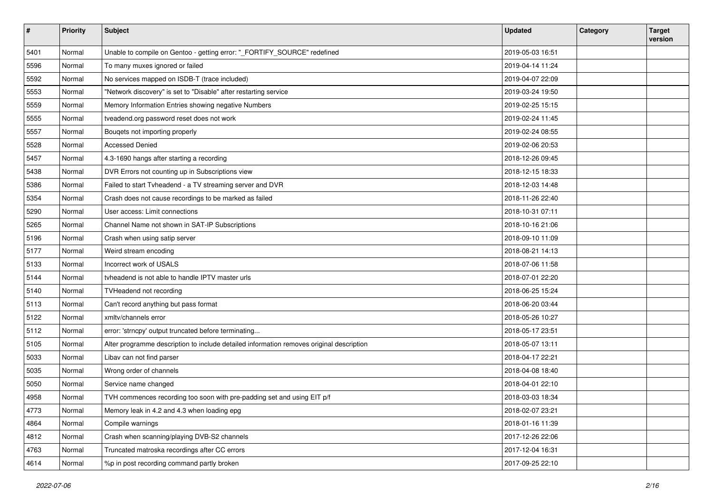| #    | <b>Priority</b> | <b>Subject</b>                                                                           | <b>Updated</b>   | Category | <b>Target</b><br>version |
|------|-----------------|------------------------------------------------------------------------------------------|------------------|----------|--------------------------|
| 5401 | Normal          | Unable to compile on Gentoo - getting error: "_FORTIFY_SOURCE" redefined                 | 2019-05-03 16:51 |          |                          |
| 5596 | Normal          | To many muxes ignored or failed                                                          | 2019-04-14 11:24 |          |                          |
| 5592 | Normal          | No services mapped on ISDB-T (trace included)                                            | 2019-04-07 22:09 |          |                          |
| 5553 | Normal          | "Network discovery" is set to "Disable" after restarting service                         | 2019-03-24 19:50 |          |                          |
| 5559 | Normal          | Memory Information Entries showing negative Numbers                                      | 2019-02-25 15:15 |          |                          |
| 5555 | Normal          | tveadend.org password reset does not work                                                | 2019-02-24 11:45 |          |                          |
| 5557 | Normal          | Bouqets not importing properly                                                           | 2019-02-24 08:55 |          |                          |
| 5528 | Normal          | <b>Accessed Denied</b>                                                                   | 2019-02-06 20:53 |          |                          |
| 5457 | Normal          | 4.3-1690 hangs after starting a recording                                                | 2018-12-26 09:45 |          |                          |
| 5438 | Normal          | DVR Errors not counting up in Subscriptions view                                         | 2018-12-15 18:33 |          |                          |
| 5386 | Normal          | Failed to start Tvheadend - a TV streaming server and DVR                                | 2018-12-03 14:48 |          |                          |
| 5354 | Normal          | Crash does not cause recordings to be marked as failed                                   | 2018-11-26 22:40 |          |                          |
| 5290 | Normal          | User access: Limit connections                                                           | 2018-10-31 07:11 |          |                          |
| 5265 | Normal          | Channel Name not shown in SAT-IP Subscriptions                                           | 2018-10-16 21:06 |          |                          |
| 5196 | Normal          | Crash when using satip server                                                            | 2018-09-10 11:09 |          |                          |
| 5177 | Normal          | Weird stream encoding                                                                    | 2018-08-21 14:13 |          |                          |
| 5133 | Normal          | Incorrect work of USALS                                                                  | 2018-07-06 11:58 |          |                          |
| 5144 | Normal          | tyheadend is not able to handle IPTV master urls                                         | 2018-07-01 22:20 |          |                          |
| 5140 | Normal          | TVHeadend not recording                                                                  | 2018-06-25 15:24 |          |                          |
| 5113 | Normal          | Can't record anything but pass format                                                    | 2018-06-20 03:44 |          |                          |
| 5122 | Normal          | xmltv/channels error                                                                     | 2018-05-26 10:27 |          |                          |
| 5112 | Normal          | error: 'strncpy' output truncated before terminating                                     | 2018-05-17 23:51 |          |                          |
| 5105 | Normal          | Alter programme description to include detailed information removes original description | 2018-05-07 13:11 |          |                          |
| 5033 | Normal          | Libav can not find parser                                                                | 2018-04-17 22:21 |          |                          |
| 5035 | Normal          | Wrong order of channels                                                                  | 2018-04-08 18:40 |          |                          |
| 5050 | Normal          | Service name changed                                                                     | 2018-04-01 22:10 |          |                          |
| 4958 | Normal          | TVH commences recording too soon with pre-padding set and using EIT p/f                  | 2018-03-03 18:34 |          |                          |
| 4773 | Normal          | Memory leak in 4.2 and 4.3 when loading epg                                              | 2018-02-07 23:21 |          |                          |
| 4864 | Normal          | Compile warnings                                                                         | 2018-01-16 11:39 |          |                          |
| 4812 | Normal          | Crash when scanning/playing DVB-S2 channels                                              | 2017-12-26 22:06 |          |                          |
| 4763 | Normal          | Truncated matroska recordings after CC errors                                            | 2017-12-04 16:31 |          |                          |
| 4614 | Normal          | %p in post recording command partly broken                                               | 2017-09-25 22:10 |          |                          |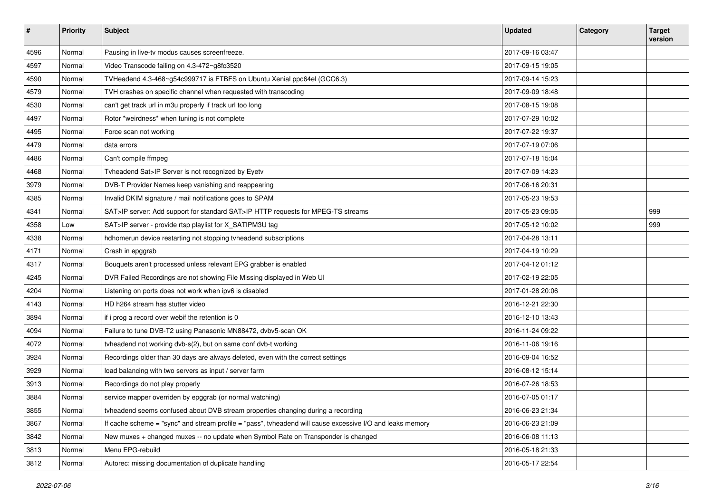| $\vert$ # | <b>Priority</b> | Subject                                                                                                   | <b>Updated</b>   | Category | <b>Target</b><br>version |
|-----------|-----------------|-----------------------------------------------------------------------------------------------------------|------------------|----------|--------------------------|
| 4596      | Normal          | Pausing in live-tv modus causes screenfreeze.                                                             | 2017-09-16 03:47 |          |                          |
| 4597      | Normal          | Video Transcode failing on 4.3-472~g8fc3520                                                               | 2017-09-15 19:05 |          |                          |
| 4590      | Normal          | TVHeadend 4.3-468~g54c999717 is FTBFS on Ubuntu Xenial ppc64el (GCC6.3)                                   | 2017-09-14 15:23 |          |                          |
| 4579      | Normal          | TVH crashes on specific channel when requested with transcoding                                           | 2017-09-09 18:48 |          |                          |
| 4530      | Normal          | can't get track url in m3u properly if track url too long                                                 | 2017-08-15 19:08 |          |                          |
| 4497      | Normal          | Rotor *weirdness* when tuning is not complete                                                             | 2017-07-29 10:02 |          |                          |
| 4495      | Normal          | Force scan not working                                                                                    | 2017-07-22 19:37 |          |                          |
| 4479      | Normal          | data errors                                                                                               | 2017-07-19 07:06 |          |                          |
| 4486      | Normal          | Can't compile ffmpeg                                                                                      | 2017-07-18 15:04 |          |                          |
| 4468      | Normal          | Tvheadend Sat>IP Server is not recognized by Eyetv                                                        | 2017-07-09 14:23 |          |                          |
| 3979      | Normal          | DVB-T Provider Names keep vanishing and reappearing                                                       | 2017-06-16 20:31 |          |                          |
| 4385      | Normal          | Invalid DKIM signature / mail notifications goes to SPAM                                                  | 2017-05-23 19:53 |          |                          |
| 4341      | Normal          | SAT>IP server: Add support for standard SAT>IP HTTP requests for MPEG-TS streams                          | 2017-05-23 09:05 |          | 999                      |
| 4358      | Low             | SAT>IP server - provide rtsp playlist for X_SATIPM3U tag                                                  | 2017-05-12 10:02 |          | 999                      |
| 4338      | Normal          | hdhomerun device restarting not stopping tvheadend subscriptions                                          | 2017-04-28 13:11 |          |                          |
| 4171      | Normal          | Crash in epggrab                                                                                          | 2017-04-19 10:29 |          |                          |
| 4317      | Normal          | Bouquets aren't processed unless relevant EPG grabber is enabled                                          | 2017-04-12 01:12 |          |                          |
| 4245      | Normal          | DVR Failed Recordings are not showing File Missing displayed in Web UI                                    | 2017-02-19 22:05 |          |                          |
| 4204      | Normal          | Listening on ports does not work when ipv6 is disabled                                                    | 2017-01-28 20:06 |          |                          |
| 4143      | Normal          | HD h264 stream has stutter video                                                                          | 2016-12-21 22:30 |          |                          |
| 3894      | Normal          | if i prog a record over webif the retention is 0                                                          | 2016-12-10 13:43 |          |                          |
| 4094      | Normal          | Failure to tune DVB-T2 using Panasonic MN88472, dvbv5-scan OK                                             | 2016-11-24 09:22 |          |                          |
| 4072      | Normal          | tvheadend not working dvb-s(2), but on same conf dvb-t working                                            | 2016-11-06 19:16 |          |                          |
| 3924      | Normal          | Recordings older than 30 days are always deleted, even with the correct settings                          | 2016-09-04 16:52 |          |                          |
| 3929      | Normal          | load balancing with two servers as input / server farm                                                    | 2016-08-12 15:14 |          |                          |
| 3913      | Normal          | Recordings do not play properly                                                                           | 2016-07-26 18:53 |          |                          |
| 3884      | Normal          | service mapper overriden by epggrab (or normal watching)                                                  | 2016-07-05 01:17 |          |                          |
| 3855      | Normal          | tyheadend seems confused about DVB stream properties changing during a recording                          | 2016-06-23 21:34 |          |                          |
| 3867      | Normal          | If cache scheme = "sync" and stream profile = "pass", tyheadend will cause excessive I/O and leaks memory | 2016-06-23 21:09 |          |                          |
| 3842      | Normal          | New muxes + changed muxes -- no update when Symbol Rate on Transponder is changed                         | 2016-06-08 11:13 |          |                          |
| 3813      | Normal          | Menu EPG-rebuild                                                                                          | 2016-05-18 21:33 |          |                          |
| 3812      | Normal          | Autorec: missing documentation of duplicate handling                                                      | 2016-05-17 22:54 |          |                          |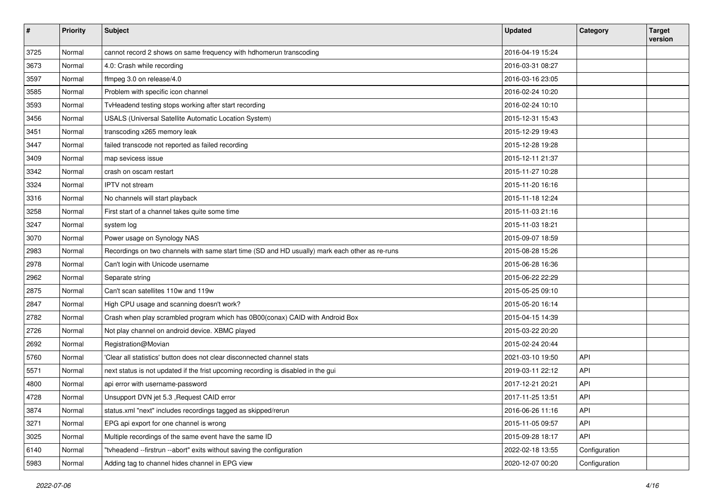| $\pmb{\#}$ | <b>Priority</b> | <b>Subject</b>                                                                                 | <b>Updated</b>   | Category      | <b>Target</b><br>version |
|------------|-----------------|------------------------------------------------------------------------------------------------|------------------|---------------|--------------------------|
| 3725       | Normal          | cannot record 2 shows on same frequency with hdhomerun transcoding                             | 2016-04-19 15:24 |               |                          |
| 3673       | Normal          | 4.0: Crash while recording                                                                     | 2016-03-31 08:27 |               |                          |
| 3597       | Normal          | ffmpeg 3.0 on release/4.0                                                                      | 2016-03-16 23:05 |               |                          |
| 3585       | Normal          | Problem with specific icon channel                                                             | 2016-02-24 10:20 |               |                          |
| 3593       | Normal          | TvHeadend testing stops working after start recording                                          | 2016-02-24 10:10 |               |                          |
| 3456       | Normal          | USALS (Universal Satellite Automatic Location System)                                          | 2015-12-31 15:43 |               |                          |
| 3451       | Normal          | transcoding x265 memory leak                                                                   | 2015-12-29 19:43 |               |                          |
| 3447       | Normal          | failed transcode not reported as failed recording                                              | 2015-12-28 19:28 |               |                          |
| 3409       | Normal          | map sevicess issue                                                                             | 2015-12-11 21:37 |               |                          |
| 3342       | Normal          | crash on oscam restart                                                                         | 2015-11-27 10:28 |               |                          |
| 3324       | Normal          | IPTV not stream                                                                                | 2015-11-20 16:16 |               |                          |
| 3316       | Normal          | No channels will start playback                                                                | 2015-11-18 12:24 |               |                          |
| 3258       | Normal          | First start of a channel takes quite some time                                                 | 2015-11-03 21:16 |               |                          |
| 3247       | Normal          | system log                                                                                     | 2015-11-03 18:21 |               |                          |
| 3070       | Normal          | Power usage on Synology NAS                                                                    | 2015-09-07 18:59 |               |                          |
| 2983       | Normal          | Recordings on two channels with same start time (SD and HD usually) mark each other as re-runs | 2015-08-28 15:26 |               |                          |
| 2978       | Normal          | Can't login with Unicode username                                                              | 2015-06-28 16:36 |               |                          |
| 2962       | Normal          | Separate string                                                                                | 2015-06-22 22:29 |               |                          |
| 2875       | Normal          | Can't scan satellites 110w and 119w                                                            | 2015-05-25 09:10 |               |                          |
| 2847       | Normal          | High CPU usage and scanning doesn't work?                                                      | 2015-05-20 16:14 |               |                          |
| 2782       | Normal          | Crash when play scrambled program which has 0B00(conax) CAID with Android Box                  | 2015-04-15 14:39 |               |                          |
| 2726       | Normal          | Not play channel on android device. XBMC played                                                | 2015-03-22 20:20 |               |                          |
| 2692       | Normal          | Registration@Movian                                                                            | 2015-02-24 20:44 |               |                          |
| 5760       | Normal          | 'Clear all statistics' button does not clear disconnected channel stats                        | 2021-03-10 19:50 | API           |                          |
| 5571       | Normal          | next status is not updated if the frist upcoming recording is disabled in the gui              | 2019-03-11 22:12 | <b>API</b>    |                          |
| 4800       | Normal          | api error with username-password                                                               | 2017-12-21 20:21 | <b>API</b>    |                          |
| 4728       | Normal          | Unsupport DVN jet 5.3, Request CAID error                                                      | 2017-11-25 13:51 | <b>API</b>    |                          |
| 3874       | Normal          | status.xml "next" includes recordings tagged as skipped/rerun                                  | 2016-06-26 11:16 | API           |                          |
| 3271       | Normal          | EPG api export for one channel is wrong                                                        | 2015-11-05 09:57 | API           |                          |
| 3025       | Normal          | Multiple recordings of the same event have the same ID                                         | 2015-09-28 18:17 | API           |                          |
| 6140       | Normal          | "tvheadend --firstrun --abort" exits without saving the configuration                          | 2022-02-18 13:55 | Configuration |                          |
| 5983       | Normal          | Adding tag to channel hides channel in EPG view                                                | 2020-12-07 00:20 | Configuration |                          |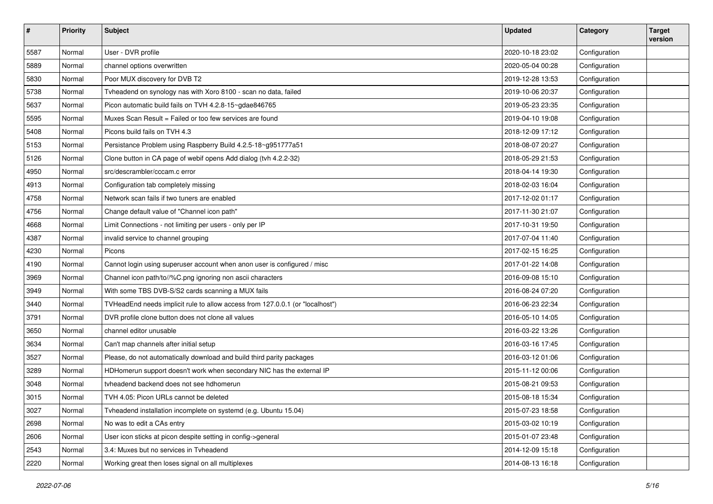| $\vert$ # | Priority | <b>Subject</b>                                                                | <b>Updated</b>   | Category      | <b>Target</b><br>version |
|-----------|----------|-------------------------------------------------------------------------------|------------------|---------------|--------------------------|
| 5587      | Normal   | User - DVR profile                                                            | 2020-10-18 23:02 | Configuration |                          |
| 5889      | Normal   | channel options overwritten                                                   | 2020-05-04 00:28 | Configuration |                          |
| 5830      | Normal   | Poor MUX discovery for DVB T2                                                 | 2019-12-28 13:53 | Configuration |                          |
| 5738      | Normal   | Tvheadend on synology nas with Xoro 8100 - scan no data, failed               | 2019-10-06 20:37 | Configuration |                          |
| 5637      | Normal   | Picon automatic build fails on TVH 4.2.8-15~gdae846765                        | 2019-05-23 23:35 | Configuration |                          |
| 5595      | Normal   | Muxes Scan Result = Failed or too few services are found                      | 2019-04-10 19:08 | Configuration |                          |
| 5408      | Normal   | Picons build fails on TVH 4.3                                                 | 2018-12-09 17:12 | Configuration |                          |
| 5153      | Normal   | Persistance Problem using Raspberry Build 4.2.5-18~g951777a51                 | 2018-08-07 20:27 | Configuration |                          |
| 5126      | Normal   | Clone button in CA page of webif opens Add dialog (tvh 4.2.2-32)              | 2018-05-29 21:53 | Configuration |                          |
| 4950      | Normal   | src/descrambler/cccam.c error                                                 | 2018-04-14 19:30 | Configuration |                          |
| 4913      | Normal   | Configuration tab completely missing                                          | 2018-02-03 16:04 | Configuration |                          |
| 4758      | Normal   | Network scan fails if two tuners are enabled                                  | 2017-12-02 01:17 | Configuration |                          |
| 4756      | Normal   | Change default value of "Channel icon path"                                   | 2017-11-30 21:07 | Configuration |                          |
| 4668      | Normal   | Limit Connections - not limiting per users - only per IP                      | 2017-10-31 19:50 | Configuration |                          |
| 4387      | Normal   | invalid service to channel grouping                                           | 2017-07-04 11:40 | Configuration |                          |
| 4230      | Normal   | Picons                                                                        | 2017-02-15 16:25 | Configuration |                          |
| 4190      | Normal   | Cannot login using superuser account when anon user is configured / misc      | 2017-01-22 14:08 | Configuration |                          |
| 3969      | Normal   | Channel icon path/to//%C.png ignoring non ascii characters                    | 2016-09-08 15:10 | Configuration |                          |
| 3949      | Normal   | With some TBS DVB-S/S2 cards scanning a MUX fails                             | 2016-08-24 07:20 | Configuration |                          |
| 3440      | Normal   | TVHeadEnd needs implicit rule to allow access from 127.0.0.1 (or "localhost") | 2016-06-23 22:34 | Configuration |                          |
| 3791      | Normal   | DVR profile clone button does not clone all values                            | 2016-05-10 14:05 | Configuration |                          |
| 3650      | Normal   | channel editor unusable                                                       | 2016-03-22 13:26 | Configuration |                          |
| 3634      | Normal   | Can't map channels after initial setup                                        | 2016-03-16 17:45 | Configuration |                          |
| 3527      | Normal   | Please, do not automatically download and build third parity packages         | 2016-03-12 01:06 | Configuration |                          |
| 3289      | Normal   | HDHomerun support doesn't work when secondary NIC has the external IP         | 2015-11-12 00:06 | Configuration |                          |
| 3048      | Normal   | tyheadend backend does not see hdhomerun                                      | 2015-08-21 09:53 | Configuration |                          |
| 3015      | Normal   | TVH 4.05: Picon URLs cannot be deleted                                        | 2015-08-18 15:34 | Configuration |                          |
| 3027      | Normal   | Tyheadend installation incomplete on systemd (e.g. Ubuntu 15.04)              | 2015-07-23 18:58 | Configuration |                          |
| 2698      | Normal   | No was to edit a CAs entry                                                    | 2015-03-02 10:19 | Configuration |                          |
| 2606      | Normal   | User icon sticks at picon despite setting in config->general                  | 2015-01-07 23:48 | Configuration |                          |
| 2543      | Normal   | 3.4: Muxes but no services in Tvheadend                                       | 2014-12-09 15:18 | Configuration |                          |
| 2220      | Normal   | Working great then loses signal on all multiplexes                            | 2014-08-13 16:18 | Configuration |                          |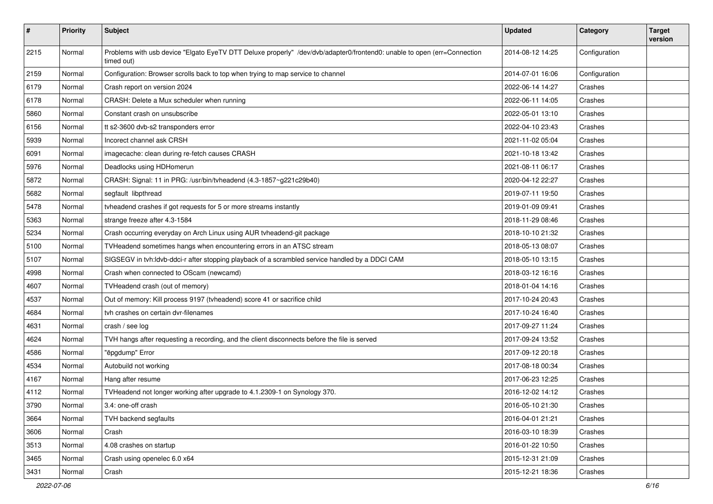| $\vert$ # | Priority | <b>Subject</b>                                                                                                                        | <b>Updated</b>   | Category      | <b>Target</b><br>version |
|-----------|----------|---------------------------------------------------------------------------------------------------------------------------------------|------------------|---------------|--------------------------|
| 2215      | Normal   | Problems with usb device "Elgato EyeTV DTT Deluxe properly" /dev/dvb/adapter0/frontend0: unable to open (err=Connection<br>timed out) | 2014-08-12 14:25 | Configuration |                          |
| 2159      | Normal   | Configuration: Browser scrolls back to top when trying to map service to channel                                                      | 2014-07-01 16:06 | Configuration |                          |
| 6179      | Normal   | Crash report on version 2024                                                                                                          | 2022-06-14 14:27 | Crashes       |                          |
| 6178      | Normal   | CRASH: Delete a Mux scheduler when running                                                                                            | 2022-06-11 14:05 | Crashes       |                          |
| 5860      | Normal   | Constant crash on unsubscribe                                                                                                         | 2022-05-01 13:10 | Crashes       |                          |
| 6156      | Normal   | tt s2-3600 dvb-s2 transponders error                                                                                                  | 2022-04-10 23:43 | Crashes       |                          |
| 5939      | Normal   | Incorect channel ask CRSH                                                                                                             | 2021-11-02 05:04 | Crashes       |                          |
| 6091      | Normal   | imagecache: clean during re-fetch causes CRASH                                                                                        | 2021-10-18 13:42 | Crashes       |                          |
| 5976      | Normal   | Deadlocks using HDHomerun                                                                                                             | 2021-08-11 06:17 | Crashes       |                          |
| 5872      | Normal   | CRASH: Signal: 11 in PRG: /usr/bin/tvheadend (4.3-1857~g221c29b40)                                                                    | 2020-04-12 22:27 | Crashes       |                          |
| 5682      | Normal   | segfault libpthread                                                                                                                   | 2019-07-11 19:50 | Crashes       |                          |
| 5478      | Normal   | tyheadend crashes if got requests for 5 or more streams instantly                                                                     | 2019-01-09 09:41 | Crashes       |                          |
| 5363      | Normal   | strange freeze after 4.3-1584                                                                                                         | 2018-11-29 08:46 | Crashes       |                          |
| 5234      | Normal   | Crash occurring everyday on Arch Linux using AUR tvheadend-git package                                                                | 2018-10-10 21:32 | Crashes       |                          |
| 5100      | Normal   | TVHeadend sometimes hangs when encountering errors in an ATSC stream                                                                  | 2018-05-13 08:07 | Crashes       |                          |
| 5107      | Normal   | SIGSEGV in tvh:ldvb-ddci-r after stopping playback of a scrambled service handled by a DDCI CAM                                       | 2018-05-10 13:15 | Crashes       |                          |
| 4998      | Normal   | Crash when connected to OScam (newcamd)                                                                                               | 2018-03-12 16:16 | Crashes       |                          |
| 4607      | Normal   | TVHeadend crash (out of memory)                                                                                                       | 2018-01-04 14:16 | Crashes       |                          |
| 4537      | Normal   | Out of memory: Kill process 9197 (tvheadend) score 41 or sacrifice child                                                              | 2017-10-24 20:43 | Crashes       |                          |
| 4684      | Normal   | tvh crashes on certain dvr-filenames                                                                                                  | 2017-10-24 16:40 | Crashes       |                          |
| 4631      | Normal   | crash / see log                                                                                                                       | 2017-09-27 11:24 | Crashes       |                          |
| 4624      | Normal   | TVH hangs after requesting a recording, and the client disconnects before the file is served                                          | 2017-09-24 13:52 | Crashes       |                          |
| 4586      | Normal   | "ëpgdump" Error                                                                                                                       | 2017-09-12 20:18 | Crashes       |                          |
| 4534      | Normal   | Autobuild not working                                                                                                                 | 2017-08-18 00:34 | Crashes       |                          |
| 4167      | Normal   | Hang after resume                                                                                                                     | 2017-06-23 12:25 | Crashes       |                          |
| 4112      | Normal   | TVHeadend not longer working after upgrade to 4.1.2309-1 on Synology 370.                                                             | 2016-12-02 14:12 | Crashes       |                          |
| 3790      | Normal   | 3.4: one-off crash                                                                                                                    | 2016-05-10 21:30 | Crashes       |                          |
| 3664      | Normal   | TVH backend segfaults                                                                                                                 | 2016-04-01 21:21 | Crashes       |                          |
| 3606      | Normal   | Crash                                                                                                                                 | 2016-03-10 18:39 | Crashes       |                          |
| 3513      | Normal   | 4.08 crashes on startup                                                                                                               | 2016-01-22 10:50 | Crashes       |                          |
| 3465      | Normal   | Crash using openelec 6.0 x64                                                                                                          | 2015-12-31 21:09 | Crashes       |                          |
| 3431      | Normal   | Crash                                                                                                                                 | 2015-12-21 18:36 | Crashes       |                          |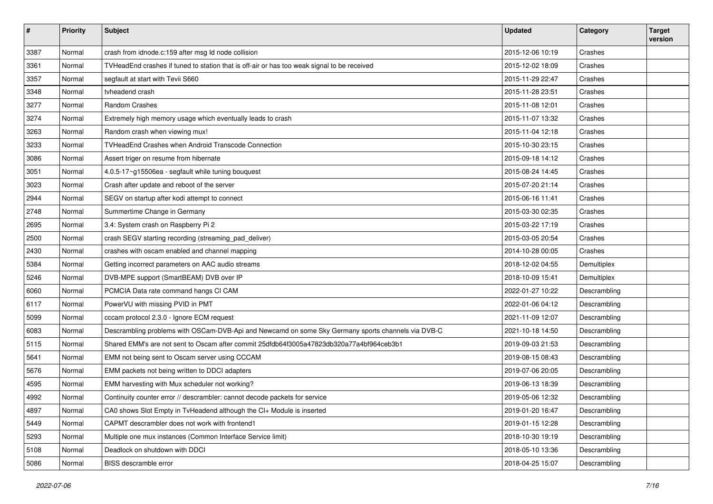| $\vert$ # | Priority | <b>Subject</b>                                                                                     | <b>Updated</b>   | Category     | <b>Target</b><br>version |
|-----------|----------|----------------------------------------------------------------------------------------------------|------------------|--------------|--------------------------|
| 3387      | Normal   | crash from idnode.c:159 after msg Id node collision                                                | 2015-12-06 10:19 | Crashes      |                          |
| 3361      | Normal   | TVHeadEnd crashes if tuned to station that is off-air or has too weak signal to be received        | 2015-12-02 18:09 | Crashes      |                          |
| 3357      | Normal   | segfault at start with Tevii S660                                                                  | 2015-11-29 22:47 | Crashes      |                          |
| 3348      | Normal   | tvheadend crash                                                                                    | 2015-11-28 23:51 | Crashes      |                          |
| 3277      | Normal   | Random Crashes                                                                                     | 2015-11-08 12:01 | Crashes      |                          |
| 3274      | Normal   | Extremely high memory usage which eventually leads to crash                                        | 2015-11-07 13:32 | Crashes      |                          |
| 3263      | Normal   | Random crash when viewing mux!                                                                     | 2015-11-04 12:18 | Crashes      |                          |
| 3233      | Normal   | TVHeadEnd Crashes when Android Transcode Connection                                                | 2015-10-30 23:15 | Crashes      |                          |
| 3086      | Normal   | Assert triger on resume from hibernate                                                             | 2015-09-18 14:12 | Crashes      |                          |
| 3051      | Normal   | 4.0.5-17~g15506ea - segfault while tuning bouquest                                                 | 2015-08-24 14:45 | Crashes      |                          |
| 3023      | Normal   | Crash after update and reboot of the server                                                        | 2015-07-20 21:14 | Crashes      |                          |
| 2944      | Normal   | SEGV on startup after kodi attempt to connect                                                      | 2015-06-16 11:41 | Crashes      |                          |
| 2748      | Normal   | Summertime Change in Germany                                                                       | 2015-03-30 02:35 | Crashes      |                          |
| 2695      | Normal   | 3.4: System crash on Raspberry Pi 2                                                                | 2015-03-22 17:19 | Crashes      |                          |
| 2500      | Normal   | crash SEGV starting recording (streaming_pad_deliver)                                              | 2015-03-05 20:54 | Crashes      |                          |
| 2430      | Normal   | crashes with oscam enabled and channel mapping                                                     | 2014-10-28 00:05 | Crashes      |                          |
| 5384      | Normal   | Getting incorrect parameters on AAC audio streams                                                  | 2018-12-02 04:55 | Demultiplex  |                          |
| 5246      | Normal   | DVB-MPE support (SmartBEAM) DVB over IP                                                            | 2018-10-09 15:41 | Demultiplex  |                          |
| 6060      | Normal   | PCMCIA Data rate command hangs CI CAM                                                              | 2022-01-27 10:22 | Descrambling |                          |
| 6117      | Normal   | PowerVU with missing PVID in PMT                                                                   | 2022-01-06 04:12 | Descrambling |                          |
| 5099      | Normal   | cccam protocol 2.3.0 - Ignore ECM request                                                          | 2021-11-09 12:07 | Descrambling |                          |
| 6083      | Normal   | Descrambling problems with OSCam-DVB-Api and Newcamd on some Sky Germany sports channels via DVB-C | 2021-10-18 14:50 | Descrambling |                          |
| 5115      | Normal   | Shared EMM's are not sent to Oscam after commit 25dfdb64f3005a47823db320a77a4bf964ceb3b1           | 2019-09-03 21:53 | Descrambling |                          |
| 5641      | Normal   | EMM not being sent to Oscam server using CCCAM                                                     | 2019-08-15 08:43 | Descrambling |                          |
| 5676      | Normal   | EMM packets not being written to DDCI adapters                                                     | 2019-07-06 20:05 | Descrambling |                          |
| 4595      | Normal   | EMM harvesting with Mux scheduler not working?                                                     | 2019-06-13 18:39 | Descrambling |                          |
| 4992      | Normal   | Continuity counter error // descrambler: cannot decode packets for service                         | 2019-05-06 12:32 | Descrambling |                          |
| 4897      | Normal   | CA0 shows Slot Empty in TvHeadend although the CI+ Module is inserted                              | 2019-01-20 16:47 | Descrambling |                          |
| 5449      | Normal   | CAPMT descrambler does not work with frontend1                                                     | 2019-01-15 12:28 | Descrambling |                          |
| 5293      | Normal   | Multiple one mux instances (Common Interface Service limit)                                        | 2018-10-30 19:19 | Descrambling |                          |
| 5108      | Normal   | Deadlock on shutdown with DDCI                                                                     | 2018-05-10 13:36 | Descrambling |                          |
| 5086      | Normal   | BISS descramble error                                                                              | 2018-04-25 15:07 | Descrambling |                          |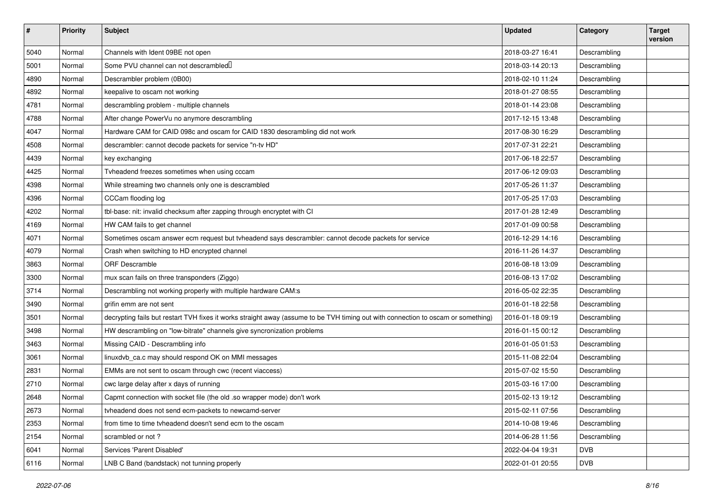| #    | <b>Priority</b> | Subject                                                                                                                           | <b>Updated</b>   | Category     | <b>Target</b><br>version |
|------|-----------------|-----------------------------------------------------------------------------------------------------------------------------------|------------------|--------------|--------------------------|
| 5040 | Normal          | Channels with Ident 09BE not open                                                                                                 | 2018-03-27 16:41 | Descrambling |                          |
| 5001 | Normal          | Some PVU channel can not descrambled                                                                                              | 2018-03-14 20:13 | Descrambling |                          |
| 4890 | Normal          | Descrambler problem (0B00)                                                                                                        | 2018-02-10 11:24 | Descrambling |                          |
| 4892 | Normal          | keepalive to oscam not working                                                                                                    | 2018-01-27 08:55 | Descrambling |                          |
| 4781 | Normal          | descrambling problem - multiple channels                                                                                          | 2018-01-14 23:08 | Descrambling |                          |
| 4788 | Normal          | After change PowerVu no anymore descrambling                                                                                      | 2017-12-15 13:48 | Descrambling |                          |
| 4047 | Normal          | Hardware CAM for CAID 098c and oscam for CAID 1830 descrambling did not work                                                      | 2017-08-30 16:29 | Descrambling |                          |
| 4508 | Normal          | descrambler: cannot decode packets for service "n-tv HD"                                                                          | 2017-07-31 22:21 | Descrambling |                          |
| 4439 | Normal          | key exchanging                                                                                                                    | 2017-06-18 22:57 | Descrambling |                          |
| 4425 | Normal          | Tyheadend freezes sometimes when using cccam                                                                                      | 2017-06-12 09:03 | Descrambling |                          |
| 4398 | Normal          | While streaming two channels only one is descrambled                                                                              | 2017-05-26 11:37 | Descrambling |                          |
| 4396 | Normal          | CCCam flooding log                                                                                                                | 2017-05-25 17:03 | Descrambling |                          |
| 4202 | Normal          | tbl-base: nit: invalid checksum after zapping through encryptet with CI                                                           | 2017-01-28 12:49 | Descrambling |                          |
| 4169 | Normal          | HW CAM fails to get channel                                                                                                       | 2017-01-09 00:58 | Descrambling |                          |
| 4071 | Normal          | Sometimes oscam answer ecm request but tvheadend says descrambler: cannot decode packets for service                              | 2016-12-29 14:16 | Descrambling |                          |
| 4079 | Normal          | Crash when switching to HD encrypted channel                                                                                      | 2016-11-26 14:37 | Descrambling |                          |
| 3863 | Normal          | <b>ORF Descramble</b>                                                                                                             | 2016-08-18 13:09 | Descrambling |                          |
| 3300 | Normal          | mux scan fails on three transponders (Ziggo)                                                                                      | 2016-08-13 17:02 | Descrambling |                          |
| 3714 | Normal          | Descrambling not working properly with multiple hardware CAM:s                                                                    | 2016-05-02 22:35 | Descrambling |                          |
| 3490 | Normal          | grifin emm are not sent                                                                                                           | 2016-01-18 22:58 | Descrambling |                          |
| 3501 | Normal          | decrypting fails but restart TVH fixes it works straight away (assume to be TVH timing out with connection to oscam or something) | 2016-01-18 09:19 | Descrambling |                          |
| 3498 | Normal          | HW descrambling on "low-bitrate" channels give syncronization problems                                                            | 2016-01-15 00:12 | Descrambling |                          |
| 3463 | Normal          | Missing CAID - Descrambling info                                                                                                  | 2016-01-05 01:53 | Descrambling |                          |
| 3061 | Normal          | linuxdvb_ca.c may should respond OK on MMI messages                                                                               | 2015-11-08 22:04 | Descrambling |                          |
| 2831 | Normal          | EMMs are not sent to oscam through cwc (recent viaccess)                                                                          | 2015-07-02 15:50 | Descrambling |                          |
| 2710 | Normal          | cwc large delay after x days of running                                                                                           | 2015-03-16 17:00 | Descrambling |                          |
| 2648 | Normal          | Capmt connection with socket file (the old .so wrapper mode) don't work                                                           | 2015-02-13 19:12 | Descrambling |                          |
| 2673 | Normal          | tyheadend does not send ecm-packets to newcamd-server                                                                             | 2015-02-11 07:56 | Descrambling |                          |
| 2353 | Normal          | from time to time tvheadend doesn't send ecm to the oscam                                                                         | 2014-10-08 19:46 | Descrambling |                          |
| 2154 | Normal          | scrambled or not?                                                                                                                 | 2014-06-28 11:56 | Descrambling |                          |
| 6041 | Normal          | Services 'Parent Disabled'                                                                                                        | 2022-04-04 19:31 | <b>DVB</b>   |                          |
| 6116 | Normal          | LNB C Band (bandstack) not tunning properly                                                                                       | 2022-01-01 20:55 | <b>DVB</b>   |                          |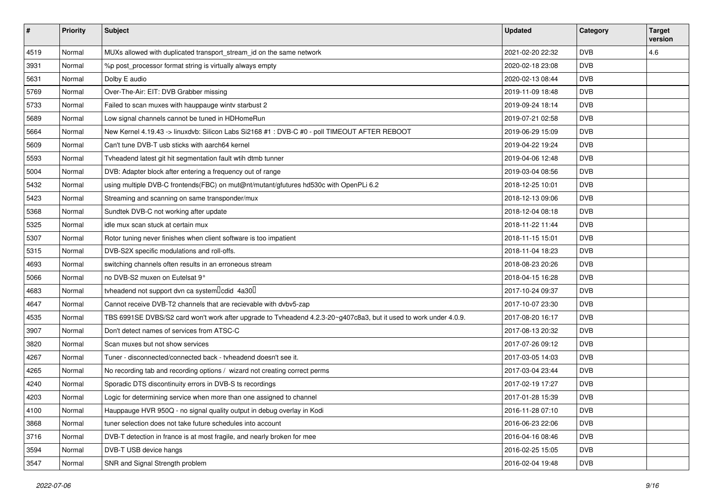| #    | <b>Priority</b> | <b>Subject</b>                                                                                                    | <b>Updated</b>   | Category   | <b>Target</b><br>version |
|------|-----------------|-------------------------------------------------------------------------------------------------------------------|------------------|------------|--------------------------|
| 4519 | Normal          | MUXs allowed with duplicated transport_stream_id on the same network                                              | 2021-02-20 22:32 | <b>DVB</b> | 4.6                      |
| 3931 | Normal          | %p post_processor format string is virtually always empty                                                         | 2020-02-18 23:08 | <b>DVB</b> |                          |
| 5631 | Normal          | Dolby E audio                                                                                                     | 2020-02-13 08:44 | <b>DVB</b> |                          |
| 5769 | Normal          | Over-The-Air: EIT: DVB Grabber missing                                                                            | 2019-11-09 18:48 | <b>DVB</b> |                          |
| 5733 | Normal          | Failed to scan muxes with hauppauge wintv starbust 2                                                              | 2019-09-24 18:14 | <b>DVB</b> |                          |
| 5689 | Normal          | Low signal channels cannot be tuned in HDHomeRun                                                                  | 2019-07-21 02:58 | <b>DVB</b> |                          |
| 5664 | Normal          | New Kernel 4.19.43 -> linuxdvb: Silicon Labs Si2168 #1 : DVB-C #0 - poll TIMEOUT AFTER REBOOT                     | 2019-06-29 15:09 | <b>DVB</b> |                          |
| 5609 | Normal          | Can't tune DVB-T usb sticks with aarch64 kernel                                                                   | 2019-04-22 19:24 | <b>DVB</b> |                          |
| 5593 | Normal          | Tvheadend latest git hit segmentation fault wtih dtmb tunner                                                      | 2019-04-06 12:48 | <b>DVB</b> |                          |
| 5004 | Normal          | DVB: Adapter block after entering a frequency out of range                                                        | 2019-03-04 08:56 | <b>DVB</b> |                          |
| 5432 | Normal          | using multiple DVB-C frontends(FBC) on mut@nt/mutant/gfutures hd530c with OpenPLi 6.2                             | 2018-12-25 10:01 | <b>DVB</b> |                          |
| 5423 | Normal          | Streaming and scanning on same transponder/mux                                                                    | 2018-12-13 09:06 | <b>DVB</b> |                          |
| 5368 | Normal          | Sundtek DVB-C not working after update                                                                            | 2018-12-04 08:18 | <b>DVB</b> |                          |
| 5325 | Normal          | idle mux scan stuck at certain mux                                                                                | 2018-11-22 11:44 | <b>DVB</b> |                          |
| 5307 | Normal          | Rotor tuning never finishes when client software is too impatient                                                 | 2018-11-15 15:01 | <b>DVB</b> |                          |
| 5315 | Normal          | DVB-S2X specific modulations and roll-offs.                                                                       | 2018-11-04 18:23 | <b>DVB</b> |                          |
| 4693 | Normal          | switching channels often results in an erroneous stream                                                           | 2018-08-23 20:26 | <b>DVB</b> |                          |
| 5066 | Normal          | no DVB-S2 muxen on Eutelsat 9°                                                                                    | 2018-04-15 16:28 | <b>DVB</b> |                          |
| 4683 | Normal          | tvheadend not support dvn ca system lcdid 4a30                                                                    | 2017-10-24 09:37 | <b>DVB</b> |                          |
| 4647 | Normal          | Cannot receive DVB-T2 channels that are recievable with dvbv5-zap                                                 | 2017-10-07 23:30 | <b>DVB</b> |                          |
| 4535 | Normal          | TBS 6991SE DVBS/S2 card won't work after upgrade to Tvheadend 4.2.3-20~g407c8a3, but it used to work under 4.0.9. | 2017-08-20 16:17 | <b>DVB</b> |                          |
| 3907 | Normal          | Don't detect names of services from ATSC-C                                                                        | 2017-08-13 20:32 | <b>DVB</b> |                          |
| 3820 | Normal          | Scan muxes but not show services                                                                                  | 2017-07-26 09:12 | <b>DVB</b> |                          |
| 4267 | Normal          | Tuner - disconnected/connected back - tyheadend doesn't see it.                                                   | 2017-03-05 14:03 | <b>DVB</b> |                          |
| 4265 | Normal          | No recording tab and recording options / wizard not creating correct perms                                        | 2017-03-04 23:44 | <b>DVB</b> |                          |
| 4240 | Normal          | Sporadic DTS discontinuity errors in DVB-S ts recordings                                                          | 2017-02-19 17:27 | <b>DVB</b> |                          |
| 4203 | Normal          | Logic for determining service when more than one assigned to channel                                              | 2017-01-28 15:39 | <b>DVB</b> |                          |
| 4100 | Normal          | Hauppauge HVR 950Q - no signal quality output in debug overlay in Kodi                                            | 2016-11-28 07:10 | <b>DVB</b> |                          |
| 3868 | Normal          | tuner selection does not take future schedules into account                                                       | 2016-06-23 22:06 | <b>DVB</b> |                          |
| 3716 | Normal          | DVB-T detection in france is at most fragile, and nearly broken for mee                                           | 2016-04-16 08:46 | <b>DVB</b> |                          |
| 3594 | Normal          | DVB-T USB device hangs                                                                                            | 2016-02-25 15:05 | <b>DVB</b> |                          |
| 3547 | Normal          | SNR and Signal Strength problem                                                                                   | 2016-02-04 19:48 | <b>DVB</b> |                          |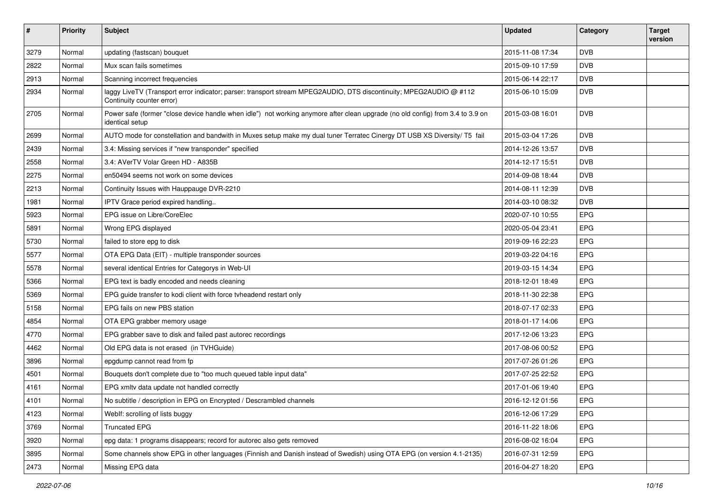| #    | <b>Priority</b> | <b>Subject</b>                                                                                                                                    | <b>Updated</b>   | Category   | <b>Target</b><br>version |
|------|-----------------|---------------------------------------------------------------------------------------------------------------------------------------------------|------------------|------------|--------------------------|
| 3279 | Normal          | updating (fastscan) bouquet                                                                                                                       | 2015-11-08 17:34 | <b>DVB</b> |                          |
| 2822 | Normal          | Mux scan fails sometimes                                                                                                                          | 2015-09-10 17:59 | <b>DVB</b> |                          |
| 2913 | Normal          | Scanning incorrect frequencies                                                                                                                    | 2015-06-14 22:17 | <b>DVB</b> |                          |
| 2934 | Normal          | laggy LiveTV (Transport error indicator; parser: transport stream MPEG2AUDIO, DTS discontinuity; MPEG2AUDIO @ #112<br>Continuity counter error)   | 2015-06-10 15:09 | <b>DVB</b> |                          |
| 2705 | Normal          | Power safe (former "close device handle when idle") not working anymore after clean upgrade (no old config) from 3.4 to 3.9 on<br>identical setup | 2015-03-08 16:01 | <b>DVB</b> |                          |
| 2699 | Normal          | AUTO mode for constellation and bandwith in Muxes setup make my dual tuner Terratec Cinergy DT USB XS Diversity/ T5 fail                          | 2015-03-04 17:26 | <b>DVB</b> |                          |
| 2439 | Normal          | 3.4: Missing services if "new transponder" specified                                                                                              | 2014-12-26 13:57 | <b>DVB</b> |                          |
| 2558 | Normal          | 3.4: AVerTV Volar Green HD - A835B                                                                                                                | 2014-12-17 15:51 | <b>DVB</b> |                          |
| 2275 | Normal          | en50494 seems not work on some devices                                                                                                            | 2014-09-08 18:44 | <b>DVB</b> |                          |
| 2213 | Normal          | Continuity Issues with Hauppauge DVR-2210                                                                                                         | 2014-08-11 12:39 | <b>DVB</b> |                          |
| 1981 | Normal          | IPTV Grace period expired handling                                                                                                                | 2014-03-10 08:32 | <b>DVB</b> |                          |
| 5923 | Normal          | EPG issue on Libre/CoreElec                                                                                                                       | 2020-07-10 10:55 | <b>EPG</b> |                          |
| 5891 | Normal          | Wrong EPG displayed                                                                                                                               | 2020-05-04 23:41 | <b>EPG</b> |                          |
| 5730 | Normal          | failed to store epg to disk                                                                                                                       | 2019-09-16 22:23 | <b>EPG</b> |                          |
| 5577 | Normal          | OTA EPG Data (EIT) - multiple transponder sources                                                                                                 | 2019-03-22 04:16 | <b>EPG</b> |                          |
| 5578 | Normal          | several identical Entries for Categorys in Web-UI                                                                                                 | 2019-03-15 14:34 | <b>EPG</b> |                          |
| 5366 | Normal          | EPG text is badly encoded and needs cleaning                                                                                                      | 2018-12-01 18:49 | <b>EPG</b> |                          |
| 5369 | Normal          | EPG guide transfer to kodi client with force tvheadend restart only                                                                               | 2018-11-30 22:38 | <b>EPG</b> |                          |
| 5158 | Normal          | EPG fails on new PBS station                                                                                                                      | 2018-07-17 02:33 | EPG        |                          |
| 4854 | Normal          | OTA EPG grabber memory usage                                                                                                                      | 2018-01-17 14:06 | EPG        |                          |
| 4770 | Normal          | EPG grabber save to disk and failed past autorec recordings                                                                                       | 2017-12-06 13:23 | <b>EPG</b> |                          |
| 4462 | Normal          | Old EPG data is not erased (in TVHGuide)                                                                                                          | 2017-08-06 00:52 | <b>EPG</b> |                          |
| 3896 | Normal          | epgdump cannot read from fp                                                                                                                       | 2017-07-26 01:26 | <b>EPG</b> |                          |
| 4501 | Normal          | Bouquets don't complete due to "too much queued table input data"                                                                                 | 2017-07-25 22:52 | <b>EPG</b> |                          |
| 4161 | Normal          | EPG xmltv data update not handled correctly                                                                                                       | 2017-01-06 19:40 | EPG        |                          |
| 4101 | Normal          | No subtitle / description in EPG on Encrypted / Descrambled channels                                                                              | 2016-12-12 01:56 | <b>EPG</b> |                          |
| 4123 | Normal          | Weblf: scrolling of lists buggy                                                                                                                   | 2016-12-06 17:29 | EPG        |                          |
| 3769 | Normal          | <b>Truncated EPG</b>                                                                                                                              | 2016-11-22 18:06 | <b>EPG</b> |                          |
| 3920 | Normal          | epg data: 1 programs disappears; record for autorec also gets removed                                                                             | 2016-08-02 16:04 | EPG        |                          |
| 3895 | Normal          | Some channels show EPG in other languages (Finnish and Danish instead of Swedish) using OTA EPG (on version 4.1-2135)                             | 2016-07-31 12:59 | <b>EPG</b> |                          |
| 2473 | Normal          | Missing EPG data                                                                                                                                  | 2016-04-27 18:20 | EPG        |                          |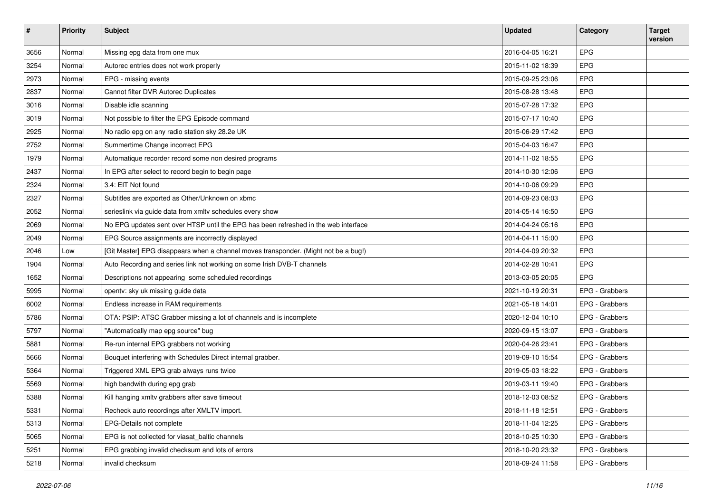| $\vert$ # | <b>Priority</b> | <b>Subject</b>                                                                      | <b>Updated</b>   | Category       | <b>Target</b><br>version |
|-----------|-----------------|-------------------------------------------------------------------------------------|------------------|----------------|--------------------------|
| 3656      | Normal          | Missing epg data from one mux                                                       | 2016-04-05 16:21 | EPG            |                          |
| 3254      | Normal          | Autorec entries does not work properly                                              | 2015-11-02 18:39 | <b>EPG</b>     |                          |
| 2973      | Normal          | EPG - missing events                                                                | 2015-09-25 23:06 | EPG            |                          |
| 2837      | Normal          | Cannot filter DVR Autorec Duplicates                                                | 2015-08-28 13:48 | EPG            |                          |
| 3016      | Normal          | Disable idle scanning                                                               | 2015-07-28 17:32 | <b>EPG</b>     |                          |
| 3019      | Normal          | Not possible to filter the EPG Episode command                                      | 2015-07-17 10:40 | <b>EPG</b>     |                          |
| 2925      | Normal          | No radio epg on any radio station sky 28.2e UK                                      | 2015-06-29 17:42 | EPG            |                          |
| 2752      | Normal          | Summertime Change incorrect EPG                                                     | 2015-04-03 16:47 | <b>EPG</b>     |                          |
| 1979      | Normal          | Automatique recorder record some non desired programs                               | 2014-11-02 18:55 | EPG            |                          |
| 2437      | Normal          | In EPG after select to record begin to begin page                                   | 2014-10-30 12:06 | <b>EPG</b>     |                          |
| 2324      | Normal          | 3.4: EIT Not found                                                                  | 2014-10-06 09:29 | EPG            |                          |
| 2327      | Normal          | Subtitles are exported as Other/Unknown on xbmc                                     | 2014-09-23 08:03 | EPG            |                          |
| 2052      | Normal          | serieslink via guide data from xmltv schedules every show                           | 2014-05-14 16:50 | <b>EPG</b>     |                          |
| 2069      | Normal          | No EPG updates sent over HTSP until the EPG has been refreshed in the web interface | 2014-04-24 05:16 | EPG            |                          |
| 2049      | Normal          | EPG Source assignments are incorrectly displayed                                    | 2014-04-11 15:00 | <b>EPG</b>     |                          |
| 2046      | Low             | [Git Master] EPG disappears when a channel moves transponder. (Might not be a bug!) | 2014-04-09 20:32 | EPG            |                          |
| 1904      | Normal          | Auto Recording and series link not working on some Irish DVB-T channels             | 2014-02-28 10:41 | <b>EPG</b>     |                          |
| 1652      | Normal          | Descriptions not appearing some scheduled recordings                                | 2013-03-05 20:05 | <b>EPG</b>     |                          |
| 5995      | Normal          | opentv: sky uk missing guide data                                                   | 2021-10-19 20:31 | EPG - Grabbers |                          |
| 6002      | Normal          | Endless increase in RAM requirements                                                | 2021-05-18 14:01 | EPG - Grabbers |                          |
| 5786      | Normal          | OTA: PSIP: ATSC Grabber missing a lot of channels and is incomplete                 | 2020-12-04 10:10 | EPG - Grabbers |                          |
| 5797      | Normal          | "Automatically map epg source" bug                                                  | 2020-09-15 13:07 | EPG - Grabbers |                          |
| 5881      | Normal          | Re-run internal EPG grabbers not working                                            | 2020-04-26 23:41 | EPG - Grabbers |                          |
| 5666      | Normal          | Bouquet interfering with Schedules Direct internal grabber.                         | 2019-09-10 15:54 | EPG - Grabbers |                          |
| 5364      | Normal          | Triggered XML EPG grab always runs twice                                            | 2019-05-03 18:22 | EPG - Grabbers |                          |
| 5569      | Normal          | high bandwith during epg grab                                                       | 2019-03-11 19:40 | EPG - Grabbers |                          |
| 5388      | Normal          | Kill hanging xmltv grabbers after save timeout                                      | 2018-12-03 08:52 | EPG - Grabbers |                          |
| 5331      | Normal          | Recheck auto recordings after XMLTV import.                                         | 2018-11-18 12:51 | EPG - Grabbers |                          |
| 5313      | Normal          | EPG-Details not complete                                                            | 2018-11-04 12:25 | EPG - Grabbers |                          |
| 5065      | Normal          | EPG is not collected for viasat_baltic channels                                     | 2018-10-25 10:30 | EPG - Grabbers |                          |
| 5251      | Normal          | EPG grabbing invalid checksum and lots of errors                                    | 2018-10-20 23:32 | EPG - Grabbers |                          |
| 5218      | Normal          | invalid checksum                                                                    | 2018-09-24 11:58 | EPG - Grabbers |                          |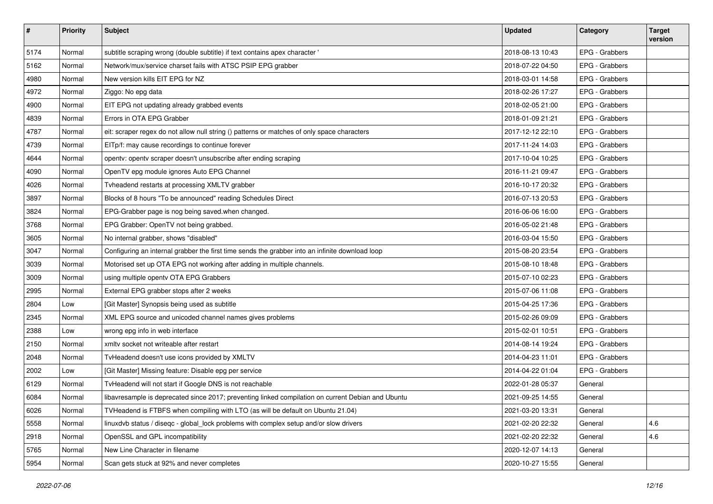| $\vert$ # | <b>Priority</b> | <b>Subject</b>                                                                                     | <b>Updated</b>   | Category       | <b>Target</b><br>version |
|-----------|-----------------|----------------------------------------------------------------------------------------------------|------------------|----------------|--------------------------|
| 5174      | Normal          | subtitle scraping wrong (double subtitle) if text contains apex character '                        | 2018-08-13 10:43 | EPG - Grabbers |                          |
| 5162      | Normal          | Network/mux/service charset fails with ATSC PSIP EPG grabber                                       | 2018-07-22 04:50 | EPG - Grabbers |                          |
| 4980      | Normal          | New version kills EIT EPG for NZ                                                                   | 2018-03-01 14:58 | EPG - Grabbers |                          |
| 4972      | Normal          | Ziggo: No epg data                                                                                 | 2018-02-26 17:27 | EPG - Grabbers |                          |
| 4900      | Normal          | EIT EPG not updating already grabbed events                                                        | 2018-02-05 21:00 | EPG - Grabbers |                          |
| 4839      | Normal          | Errors in OTA EPG Grabber                                                                          | 2018-01-09 21:21 | EPG - Grabbers |                          |
| 4787      | Normal          | eit: scraper regex do not allow null string () patterns or matches of only space characters        | 2017-12-12 22:10 | EPG - Grabbers |                          |
| 4739      | Normal          | EITp/f: may cause recordings to continue forever                                                   | 2017-11-24 14:03 | EPG - Grabbers |                          |
| 4644      | Normal          | opentv: opentv scraper doesn't unsubscribe after ending scraping                                   | 2017-10-04 10:25 | EPG - Grabbers |                          |
| 4090      | Normal          | OpenTV epg module ignores Auto EPG Channel                                                         | 2016-11-21 09:47 | EPG - Grabbers |                          |
| 4026      | Normal          | Tvheadend restarts at processing XMLTV grabber                                                     | 2016-10-17 20:32 | EPG - Grabbers |                          |
| 3897      | Normal          | Blocks of 8 hours "To be announced" reading Schedules Direct                                       | 2016-07-13 20:53 | EPG - Grabbers |                          |
| 3824      | Normal          | EPG-Grabber page is nog being saved when changed.                                                  | 2016-06-06 16:00 | EPG - Grabbers |                          |
| 3768      | Normal          | EPG Grabber: OpenTV not being grabbed.                                                             | 2016-05-02 21:48 | EPG - Grabbers |                          |
| 3605      | Normal          | No internal grabber, shows "disabled"                                                              | 2016-03-04 15:50 | EPG - Grabbers |                          |
| 3047      | Normal          | Configuring an internal grabber the first time sends the grabber into an infinite download loop    | 2015-08-20 23:54 | EPG - Grabbers |                          |
| 3039      | Normal          | Motorised set up OTA EPG not working after adding in multiple channels.                            | 2015-08-10 18:48 | EPG - Grabbers |                          |
| 3009      | Normal          | using multiple openty OTA EPG Grabbers                                                             | 2015-07-10 02:23 | EPG - Grabbers |                          |
| 2995      | Normal          | External EPG grabber stops after 2 weeks                                                           | 2015-07-06 11:08 | EPG - Grabbers |                          |
| 2804      | Low             | [Git Master] Synopsis being used as subtitle                                                       | 2015-04-25 17:36 | EPG - Grabbers |                          |
| 2345      | Normal          | XML EPG source and unicoded channel names gives problems                                           | 2015-02-26 09:09 | EPG - Grabbers |                          |
| 2388      | Low             | wrong epg info in web interface                                                                    | 2015-02-01 10:51 | EPG - Grabbers |                          |
| 2150      | Normal          | xmlty socket not writeable after restart                                                           | 2014-08-14 19:24 | EPG - Grabbers |                          |
| 2048      | Normal          | TvHeadend doesn't use icons provided by XMLTV                                                      | 2014-04-23 11:01 | EPG - Grabbers |                          |
| 2002      | Low             | [Git Master] Missing feature: Disable epg per service                                              | 2014-04-22 01:04 | EPG - Grabbers |                          |
| 6129      | Normal          | TvHeadend will not start if Google DNS is not reachable                                            | 2022-01-28 05:37 | General        |                          |
| 6084      | Normal          | libavresample is deprecated since 2017; preventing linked compilation on current Debian and Ubuntu | 2021-09-25 14:55 | General        |                          |
| 6026      | Normal          | TVHeadend is FTBFS when compiling with LTO (as will be default on Ubuntu 21.04)                    | 2021-03-20 13:31 | General        |                          |
| 5558      | Normal          | linuxdvb status / diseqc - global lock problems with complex setup and/or slow drivers             | 2021-02-20 22:32 | General        | 4.6                      |
| 2918      | Normal          | OpenSSL and GPL incompatibility                                                                    | 2021-02-20 22:32 | General        | 4.6                      |
| 5765      | Normal          | New Line Character in filename                                                                     | 2020-12-07 14:13 | General        |                          |
| 5954      | Normal          | Scan gets stuck at 92% and never completes                                                         | 2020-10-27 15:55 | General        |                          |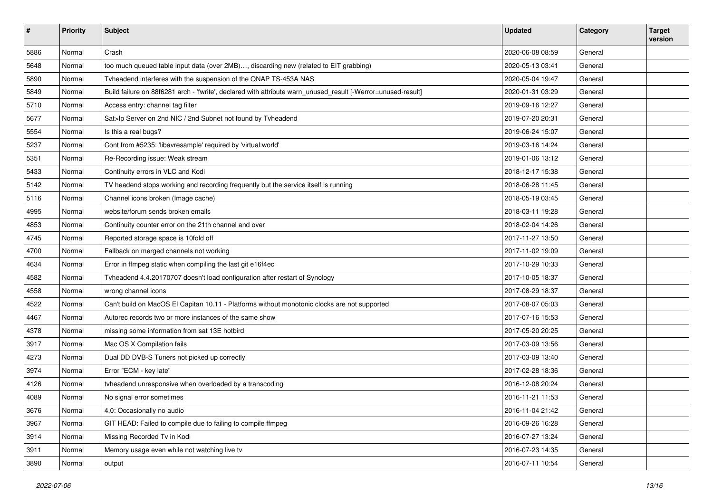| $\sharp$ | <b>Priority</b> | <b>Subject</b>                                                                                               | <b>Updated</b>   | Category | <b>Target</b><br>version |
|----------|-----------------|--------------------------------------------------------------------------------------------------------------|------------------|----------|--------------------------|
| 5886     | Normal          | Crash                                                                                                        | 2020-06-08 08:59 | General  |                          |
| 5648     | Normal          | too much queued table input data (over 2MB), discarding new (related to EIT grabbing)                        | 2020-05-13 03:41 | General  |                          |
| 5890     | Normal          | Tvheadend interferes with the suspension of the QNAP TS-453A NAS                                             | 2020-05-04 19:47 | General  |                          |
| 5849     | Normal          | Build failure on 88f6281 arch - 'fwrite', declared with attribute warn_unused_result [-Werror=unused-result] | 2020-01-31 03:29 | General  |                          |
| 5710     | Normal          | Access entry: channel tag filter                                                                             | 2019-09-16 12:27 | General  |                          |
| 5677     | Normal          | Sat>Ip Server on 2nd NIC / 2nd Subnet not found by Tvheadend                                                 | 2019-07-20 20:31 | General  |                          |
| 5554     | Normal          | Is this a real bugs?                                                                                         | 2019-06-24 15:07 | General  |                          |
| 5237     | Normal          | Cont from #5235: 'libavresample' required by 'virtual:world'                                                 | 2019-03-16 14:24 | General  |                          |
| 5351     | Normal          | Re-Recording issue: Weak stream                                                                              | 2019-01-06 13:12 | General  |                          |
| 5433     | Normal          | Continuity errors in VLC and Kodi                                                                            | 2018-12-17 15:38 | General  |                          |
| 5142     | Normal          | TV headend stops working and recording frequently but the service itself is running                          | 2018-06-28 11:45 | General  |                          |
| 5116     | Normal          | Channel icons broken (Image cache)                                                                           | 2018-05-19 03:45 | General  |                          |
| 4995     | Normal          | website/forum sends broken emails                                                                            | 2018-03-11 19:28 | General  |                          |
| 4853     | Normal          | Continuity counter error on the 21th channel and over                                                        | 2018-02-04 14:26 | General  |                          |
| 4745     | Normal          | Reported storage space is 10fold off                                                                         | 2017-11-27 13:50 | General  |                          |
| 4700     | Normal          | Fallback on merged channels not working                                                                      | 2017-11-02 19:09 | General  |                          |
| 4634     | Normal          | Error in ffmpeg static when compiling the last git e16f4ec                                                   | 2017-10-29 10:33 | General  |                          |
| 4582     | Normal          | Tvheadend 4.4.20170707 doesn't load configuration after restart of Synology                                  | 2017-10-05 18:37 | General  |                          |
| 4558     | Normal          | wrong channel icons                                                                                          | 2017-08-29 18:37 | General  |                          |
| 4522     | Normal          | Can't build on MacOS El Capitan 10.11 - Platforms without monotonic clocks are not supported                 | 2017-08-07 05:03 | General  |                          |
| 4467     | Normal          | Autorec records two or more instances of the same show                                                       | 2017-07-16 15:53 | General  |                          |
| 4378     | Normal          | missing some information from sat 13E hotbird                                                                | 2017-05-20 20:25 | General  |                          |
| 3917     | Normal          | Mac OS X Compilation fails                                                                                   | 2017-03-09 13:56 | General  |                          |
| 4273     | Normal          | Dual DD DVB-S Tuners not picked up correctly                                                                 | 2017-03-09 13:40 | General  |                          |
| 3974     | Normal          | Error "ECM - key late"                                                                                       | 2017-02-28 18:36 | General  |                          |
| 4126     | Normal          | tvheadend unresponsive when overloaded by a transcoding                                                      | 2016-12-08 20:24 | General  |                          |
| 4089     | Normal          | No signal error sometimes                                                                                    | 2016-11-21 11:53 | General  |                          |
| 3676     | Normal          | 4.0: Occasionally no audio                                                                                   | 2016-11-04 21:42 | General  |                          |
| 3967     | Normal          | GIT HEAD: Failed to compile due to failing to compile ffmpeg                                                 | 2016-09-26 16:28 | General  |                          |
| 3914     | Normal          | Missing Recorded Tv in Kodi                                                                                  | 2016-07-27 13:24 | General  |                          |
| 3911     | Normal          | Memory usage even while not watching live tv                                                                 | 2016-07-23 14:35 | General  |                          |
| 3890     | Normal          | output                                                                                                       | 2016-07-11 10:54 | General  |                          |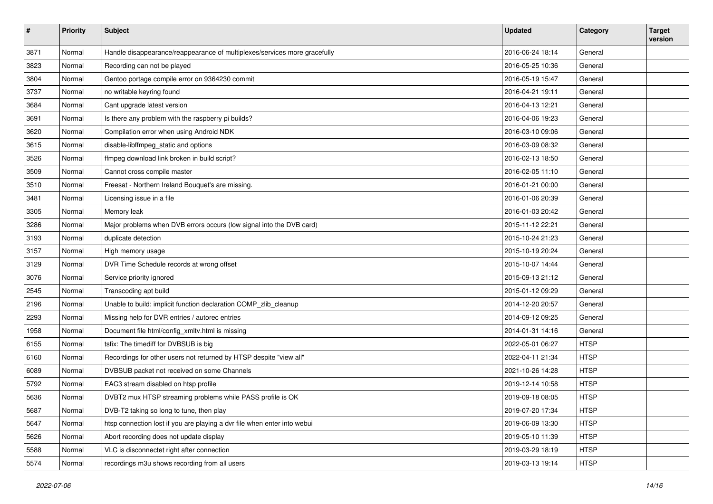| #    | <b>Priority</b> | <b>Subject</b>                                                            | <b>Updated</b>   | Category    | <b>Target</b><br>version |
|------|-----------------|---------------------------------------------------------------------------|------------------|-------------|--------------------------|
| 3871 | Normal          | Handle disappearance/reappearance of multiplexes/services more gracefully | 2016-06-24 18:14 | General     |                          |
| 3823 | Normal          | Recording can not be played                                               | 2016-05-25 10:36 | General     |                          |
| 3804 | Normal          | Gentoo portage compile error on 9364230 commit                            | 2016-05-19 15:47 | General     |                          |
| 3737 | Normal          | no writable keyring found                                                 | 2016-04-21 19:11 | General     |                          |
| 3684 | Normal          | Cant upgrade latest version                                               | 2016-04-13 12:21 | General     |                          |
| 3691 | Normal          | Is there any problem with the raspberry pi builds?                        | 2016-04-06 19:23 | General     |                          |
| 3620 | Normal          | Compilation error when using Android NDK                                  | 2016-03-10 09:06 | General     |                          |
| 3615 | Normal          | disable-libffmpeg_static and options                                      | 2016-03-09 08:32 | General     |                          |
| 3526 | Normal          | ffmpeg download link broken in build script?                              | 2016-02-13 18:50 | General     |                          |
| 3509 | Normal          | Cannot cross compile master                                               | 2016-02-05 11:10 | General     |                          |
| 3510 | Normal          | Freesat - Northern Ireland Bouquet's are missing.                         | 2016-01-21 00:00 | General     |                          |
| 3481 | Normal          | Licensing issue in a file                                                 | 2016-01-06 20:39 | General     |                          |
| 3305 | Normal          | Memory leak                                                               | 2016-01-03 20:42 | General     |                          |
| 3286 | Normal          | Major problems when DVB errors occurs (low signal into the DVB card)      | 2015-11-12 22:21 | General     |                          |
| 3193 | Normal          | duplicate detection                                                       | 2015-10-24 21:23 | General     |                          |
| 3157 | Normal          | High memory usage                                                         | 2015-10-19 20:24 | General     |                          |
| 3129 | Normal          | DVR Time Schedule records at wrong offset                                 | 2015-10-07 14:44 | General     |                          |
| 3076 | Normal          | Service priority ignored                                                  | 2015-09-13 21:12 | General     |                          |
| 2545 | Normal          | Transcoding apt build                                                     | 2015-01-12 09:29 | General     |                          |
| 2196 | Normal          | Unable to build: implicit function declaration COMP_zlib_cleanup          | 2014-12-20 20:57 | General     |                          |
| 2293 | Normal          | Missing help for DVR entries / autorec entries                            | 2014-09-12 09:25 | General     |                          |
| 1958 | Normal          | Document file html/config_xmltv.html is missing                           | 2014-01-31 14:16 | General     |                          |
| 6155 | Normal          | tsfix: The timediff for DVBSUB is big                                     | 2022-05-01 06:27 | <b>HTSP</b> |                          |
| 6160 | Normal          | Recordings for other users not returned by HTSP despite "view all"        | 2022-04-11 21:34 | <b>HTSP</b> |                          |
| 6089 | Normal          | DVBSUB packet not received on some Channels                               | 2021-10-26 14:28 | <b>HTSP</b> |                          |
| 5792 | Normal          | EAC3 stream disabled on htsp profile                                      | 2019-12-14 10:58 | <b>HTSP</b> |                          |
| 5636 | Normal          | DVBT2 mux HTSP streaming problems while PASS profile is OK                | 2019-09-18 08:05 | <b>HTSP</b> |                          |
| 5687 | Normal          | DVB-T2 taking so long to tune, then play                                  | 2019-07-20 17:34 | <b>HTSP</b> |                          |
| 5647 | Normal          | htsp connection lost if you are playing a dvr file when enter into webui  | 2019-06-09 13:30 | <b>HTSP</b> |                          |
| 5626 | Normal          | Abort recording does not update display                                   | 2019-05-10 11:39 | <b>HTSP</b> |                          |
| 5588 | Normal          | VLC is disconnectet right after connection                                | 2019-03-29 18:19 | <b>HTSP</b> |                          |
| 5574 | Normal          | recordings m3u shows recording from all users                             | 2019-03-13 19:14 | <b>HTSP</b> |                          |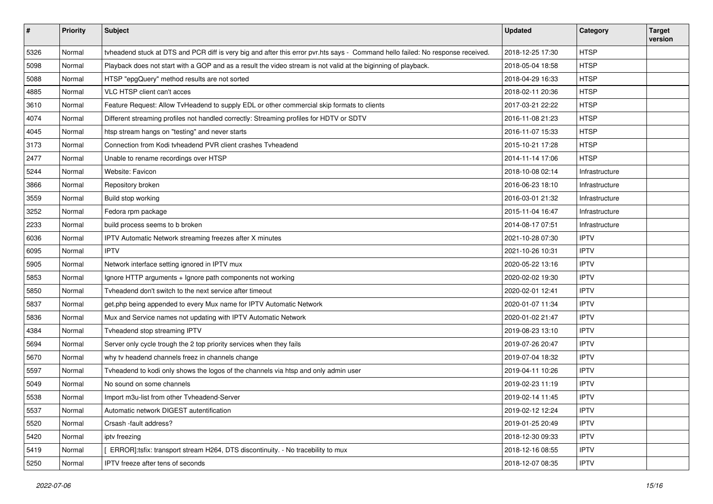| $\sharp$ | <b>Priority</b> | <b>Subject</b>                                                                                                                  | Updated          | Category       | <b>Target</b><br>version |
|----------|-----------------|---------------------------------------------------------------------------------------------------------------------------------|------------------|----------------|--------------------------|
| 5326     | Normal          | tyheadend stuck at DTS and PCR diff is very big and after this error pvr.hts says - Command hello failed: No response received. | 2018-12-25 17:30 | <b>HTSP</b>    |                          |
| 5098     | Normal          | Playback does not start with a GOP and as a result the video stream is not valid at the biginning of playback.                  | 2018-05-04 18:58 | <b>HTSP</b>    |                          |
| 5088     | Normal          | HTSP "epgQuery" method results are not sorted                                                                                   | 2018-04-29 16:33 | <b>HTSP</b>    |                          |
| 4885     | Normal          | VLC HTSP client can't acces                                                                                                     | 2018-02-11 20:36 | <b>HTSP</b>    |                          |
| 3610     | Normal          | Feature Request: Allow TvHeadend to supply EDL or other commercial skip formats to clients                                      | 2017-03-21 22:22 | <b>HTSP</b>    |                          |
| 4074     | Normal          | Different streaming profiles not handled correctly: Streaming profiles for HDTV or SDTV                                         | 2016-11-08 21:23 | <b>HTSP</b>    |                          |
| 4045     | Normal          | htsp stream hangs on "testing" and never starts                                                                                 | 2016-11-07 15:33 | <b>HTSP</b>    |                          |
| 3173     | Normal          | Connection from Kodi tyheadend PVR client crashes Tyheadend                                                                     | 2015-10-21 17:28 | <b>HTSP</b>    |                          |
| 2477     | Normal          | Unable to rename recordings over HTSP                                                                                           | 2014-11-14 17:06 | <b>HTSP</b>    |                          |
| 5244     | Normal          | Website: Favicon                                                                                                                | 2018-10-08 02:14 | Infrastructure |                          |
| 3866     | Normal          | Repository broken                                                                                                               | 2016-06-23 18:10 | Infrastructure |                          |
| 3559     | Normal          | Build stop working                                                                                                              | 2016-03-01 21:32 | Infrastructure |                          |
| 3252     | Normal          | Fedora rpm package                                                                                                              | 2015-11-04 16:47 | Infrastructure |                          |
| 2233     | Normal          | build process seems to b broken                                                                                                 | 2014-08-17 07:51 | Infrastructure |                          |
| 6036     | Normal          | IPTV Automatic Network streaming freezes after X minutes                                                                        | 2021-10-28 07:30 | <b>IPTV</b>    |                          |
| 6095     | Normal          | <b>IPTV</b>                                                                                                                     | 2021-10-26 10:31 | <b>IPTV</b>    |                          |
| 5905     | Normal          | Network interface setting ignored in IPTV mux                                                                                   | 2020-05-22 13:16 | <b>IPTV</b>    |                          |
| 5853     | Normal          | Ignore HTTP arguments + Ignore path components not working                                                                      | 2020-02-02 19:30 | <b>IPTV</b>    |                          |
| 5850     | Normal          | Tyheadend don't switch to the next service after timeout                                                                        | 2020-02-01 12:41 | <b>IPTV</b>    |                          |
| 5837     | Normal          | get.php being appended to every Mux name for IPTV Automatic Network                                                             | 2020-01-07 11:34 | <b>IPTV</b>    |                          |
| 5836     | Normal          | Mux and Service names not updating with IPTV Automatic Network                                                                  | 2020-01-02 21:47 | <b>IPTV</b>    |                          |
| 4384     | Normal          | Tvheadend stop streaming IPTV                                                                                                   | 2019-08-23 13:10 | <b>IPTV</b>    |                          |
| 5694     | Normal          | Server only cycle trough the 2 top priority services when they fails                                                            | 2019-07-26 20:47 | <b>IPTV</b>    |                          |
| 5670     | Normal          | why tv headend channels freez in channels change                                                                                | 2019-07-04 18:32 | <b>IPTV</b>    |                          |
| 5597     | Normal          | Tvheadend to kodi only shows the logos of the channels via htsp and only admin user                                             | 2019-04-11 10:26 | <b>IPTV</b>    |                          |
| 5049     | Normal          | No sound on some channels                                                                                                       | 2019-02-23 11:19 | <b>IPTV</b>    |                          |
| 5538     | Normal          | Import m3u-list from other Tvheadend-Server                                                                                     | 2019-02-14 11:45 | <b>IPTV</b>    |                          |
| 5537     | Normal          | Automatic network DIGEST autentification                                                                                        | 2019-02-12 12:24 | <b>IPTV</b>    |                          |
| 5520     | Normal          | Crsash -fault address?                                                                                                          | 2019-01-25 20:49 | <b>IPTV</b>    |                          |
| 5420     | Normal          | ipty freezing                                                                                                                   | 2018-12-30 09:33 | <b>IPTV</b>    |                          |
| 5419     | Normal          | ERROR]:tsfix: transport stream H264, DTS discontinuity. - No tracebility to mux                                                 | 2018-12-16 08:55 | <b>IPTV</b>    |                          |
| 5250     | Normal          | IPTV freeze after tens of seconds                                                                                               | 2018-12-07 08:35 | <b>IPTV</b>    |                          |